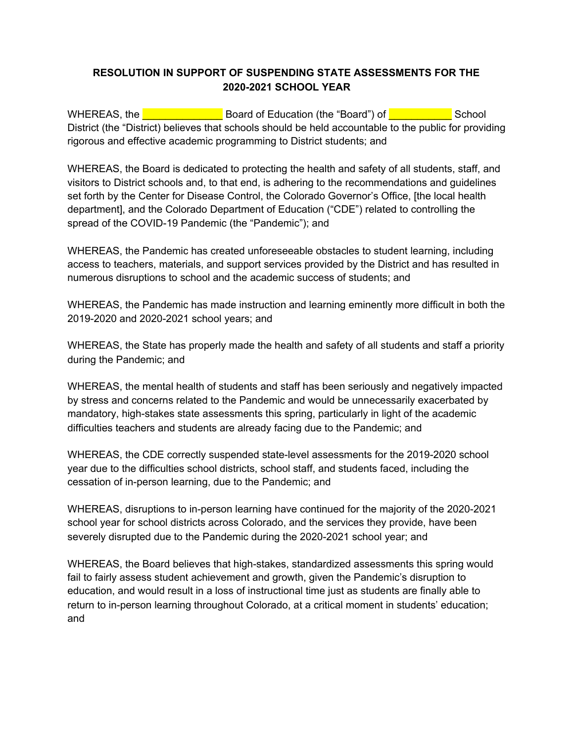## **RESOLUTION IN SUPPORT OF SUSPENDING STATE ASSESSMENTS FOR THE 2020-2021 SCHOOL YEAR**

WHEREAS, the **Example 20** Board of Education (the "Board") of **Example 20** School District (the "District) believes that schools should be held accountable to the public for providing rigorous and effective academic programming to District students; and

WHEREAS, the Board is dedicated to protecting the health and safety of all students, staff, and visitors to District schools and, to that end, is adhering to the recommendations and guidelines set forth by the Center for Disease Control, the Colorado Governor's Office, [the local health department], and the Colorado Department of Education ("CDE") related to controlling the spread of the COVID-19 Pandemic (the "Pandemic"); and

WHEREAS, the Pandemic has created unforeseeable obstacles to student learning, including access to teachers, materials, and support services provided by the District and has resulted in numerous disruptions to school and the academic success of students; and

WHEREAS, the Pandemic has made instruction and learning eminently more difficult in both the 2019-2020 and 2020-2021 school years; and

WHEREAS, the State has properly made the health and safety of all students and staff a priority during the Pandemic; and

WHEREAS, the mental health of students and staff has been seriously and negatively impacted by stress and concerns related to the Pandemic and would be unnecessarily exacerbated by mandatory, high-stakes state assessments this spring, particularly in light of the academic difficulties teachers and students are already facing due to the Pandemic; and

WHEREAS, the CDE correctly suspended state-level assessments for the 2019-2020 school year due to the difficulties school districts, school staff, and students faced, including the cessation of in-person learning, due to the Pandemic; and

WHEREAS, disruptions to in-person learning have continued for the majority of the 2020-2021 school year for school districts across Colorado, and the services they provide, have been severely disrupted due to the Pandemic during the 2020-2021 school year; and

WHEREAS, the Board believes that high-stakes, standardized assessments this spring would fail to fairly assess student achievement and growth, given the Pandemic's disruption to education, and would result in a loss of instructional time just as students are finally able to return to in-person learning throughout Colorado, at a critical moment in students' education; and